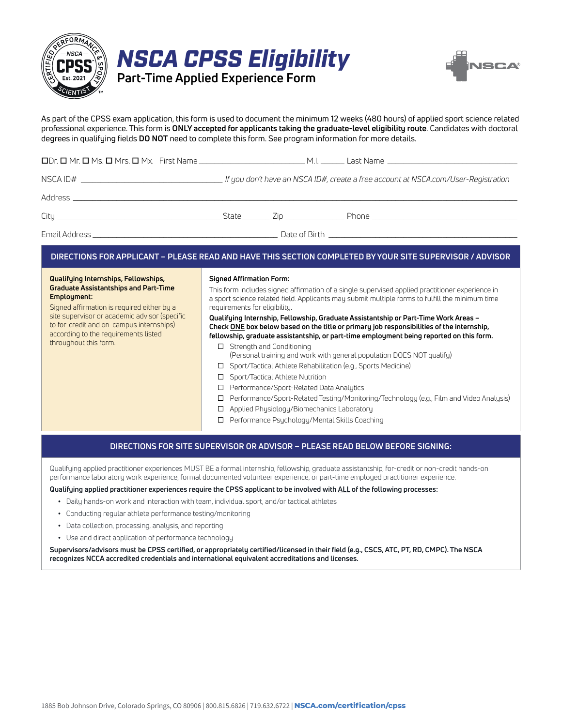

|  | <b>NSCA CPSS Eligibility</b>      |  |
|--|-----------------------------------|--|
|  | Part-Time Applied Experience Form |  |



As part of the CPSS exam application, this form is used to document the minimum 12 weeks (480 hours) of applied sport science related professional experience. This form is **ONLY accepted for applicants taking the graduate-level eligibility route**. Candidates with doctoral degrees in qualifying fields **DO NOT** need to complete this form. See program information for more details.

## **DIRECTIONS FOR APPLICANT – PLEASE READ AND HAVE THIS SECTION COMPLETED BY YOUR SITE SUPERVISOR / ADVISOR**

#### **Qualifying Internships, Fellowships, Graduate Assistantships and Part-Time Employment:**

Signed affirmation is required either by a site supervisor or academic advisor (specific to for-credit and on-campus internships) according to the requirements listed throughout this form.

#### **Signed Affirmation Form:**

This form includes signed affirmation of a single supervised applied practitioner experience in a sport science related field. Applicants may submit multiple forms to fulfill the minimum time requirements for eligibility.

#### **Qualifying Internship, Fellowship, Graduate Assistantship or Part-Time Work Areas – Check ONE box below based on the title or primary job responsibilities of the internship, fellowship, graduate assistantship, or part-time employment being reported on this form.**

- □ Strength and Conditioning (Personal training and work with general population DOES NOT qualify)
- □ Sport/Tactical Athlete Rehabilitation (e.g., Sports Medicine)
- □ Sport/Tactical Athlete Nutrition
- □ Performance/Sport-Related Data Analytics
- Performance/Sport-Related Testing/Monitoring/Technology (e.g., Film and Video Analysis)
- Applied Physiology/Biomechanics Laboratory
- Performance Psychology/Mental Skills Coaching

## **DIRECTIONS FOR SITE SUPERVISOR OR ADVISOR – PLEASE READ BELOW BEFORE SIGNING:**

Qualifying applied practitioner experiences MUST BE a formal internship, fellowship, graduate assistantship, for-credit or non-credit hands-on performance laboratory work experience, formal documented volunteer experience, or part-time employed practitioner experience.

### **Qualifying applied practitioner experiences require the CPSS applicant to be involved with ALL of the following processes:**

- **•** Daily hands-on work and interaction with team, individual sport, and/or tactical athletes
- **•** Conducting regular athlete performance testing/monitoring
- **•** Data collection, processing, analysis, and reporting
- **•** Use and direct application of performance technology

**Supervisors/advisors must be CPSS certified, or appropriately certified/licensed in their field (e.g., CSCS, ATC, PT, RD, CMPC). The NSCA recognizes NCCA accredited credentials and international equivalent accreditations and licenses.**